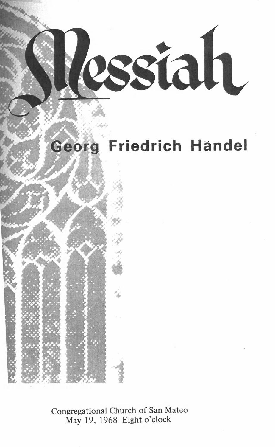Restah

# **Georg Friedrich Handel**

**Congregational Church of San Mateo May 19, 1968 Eight o'clock**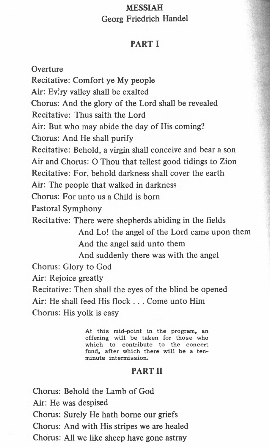## **MESSIAH Georg Friedrich Handel**

## **PART I**

**Overture Recitative: Comfort ye My people** Air: Ev'ry valley shall be exalted **Chorus: And the glory of the Lord shall be revealed Recitative: Thus saith the Lord Air: But who may abide the day of His coming? Chorus: And He shall purify Recitative: Behold, a virgin shall conceive and bear a son Air and Chorus: O Thou that tellest good tidings to Zion Recitative: For, behold darkness shall cover the earth Air: The people that walked in darkness Chorus: For unto us a Child is bom Pastoral Symphony Recitative: There were shepherds abiding in the fields And Lo! the angel of the Lord came upon them And the angel said unto them And suddenly there was with the angel Chorus: Glory to God Air: Rejoice greatly Recitative: Then shall the eyes of the blind be opened Air: He shall feed His flock . . . Come unto Him Chorus: His yolk is easy**

> **At this mid-point in the program, an offering will be taken for those who which to contribute to the concert fund, after which there will be a tenminute intermission.**

## **PART II**

**Chorus: Behold the Lamb of God Air: He was despised Chorus: Surely He hath borne our griefs Chorus: And with His stripes we are healed Chorus: All we like sheep have gone astray**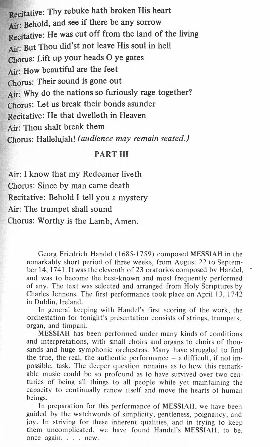**Recitative: Thy rebuke hath broken His heart Air: Behold, and see if there be any sorrow Recitative: He was cut off from the land of the living Air: But Thou did'st not leave His soul in hell Chorus: Lift up you r heads O y e gates Air: How beautiful are the feet** Chorus: Their sound is gone out **Air: Why do the nations so furiously rage together? Chorus: Let us break their bonds asunder Recitative: He that dwelleth in Heaven Air: Thou shalt break them Chorus: Hallelujah!** *(audience may remain seated.)*

## **PART III**

**Air: I know that my Redeemer liveth Chorus: Since by man came death Recitative: Behold I tell you a mystery Air: The trumpet shall sound Chorus: Worthy is the Lamb, Amen.**

> Georg Friedrich Handel (1685-1759) composed **MESSIAH** in the remarkably short period of three weeks, from August 22 to September 14, 1741. It was the eleventh of 23 oratorios composed by Handel, and was to become the best-known and most frequently performed of any. The text was selected and arranged from Holy Scriptures by Charles Jennens. The first performance took place on April 13, 1742 in Dublin, Ireland.

> In general keeping with Handel's first scoring of the work, the orchestation for tonight's presentation consists of strings, trumpets, organ, and timpani.

> **MESSIAH** has been performed under many kinds of conditions and interpretations, with small choirs and organs to choirs of thousands and huge symphonic orchestras. Many have struggled to find the true, the real, the authentic performance  $-$  a difficult, if not impossible, task. The deeper question remains as to how this remarkable music could be so profound as to have survived over two centuries of being all things to all people while yet maintaining the capacity to continually renew itself and move the hearts of human beings.

> In preparation for this performance of **MESSIAH,** we have been guided by the watchwords of simplicity, gentleness, poignancy, and joy. In striving for these inherent qualities, and in trying to keep them uncomplicated, we have found Handel's **MESSIAH,** to be, once again, . . . new.